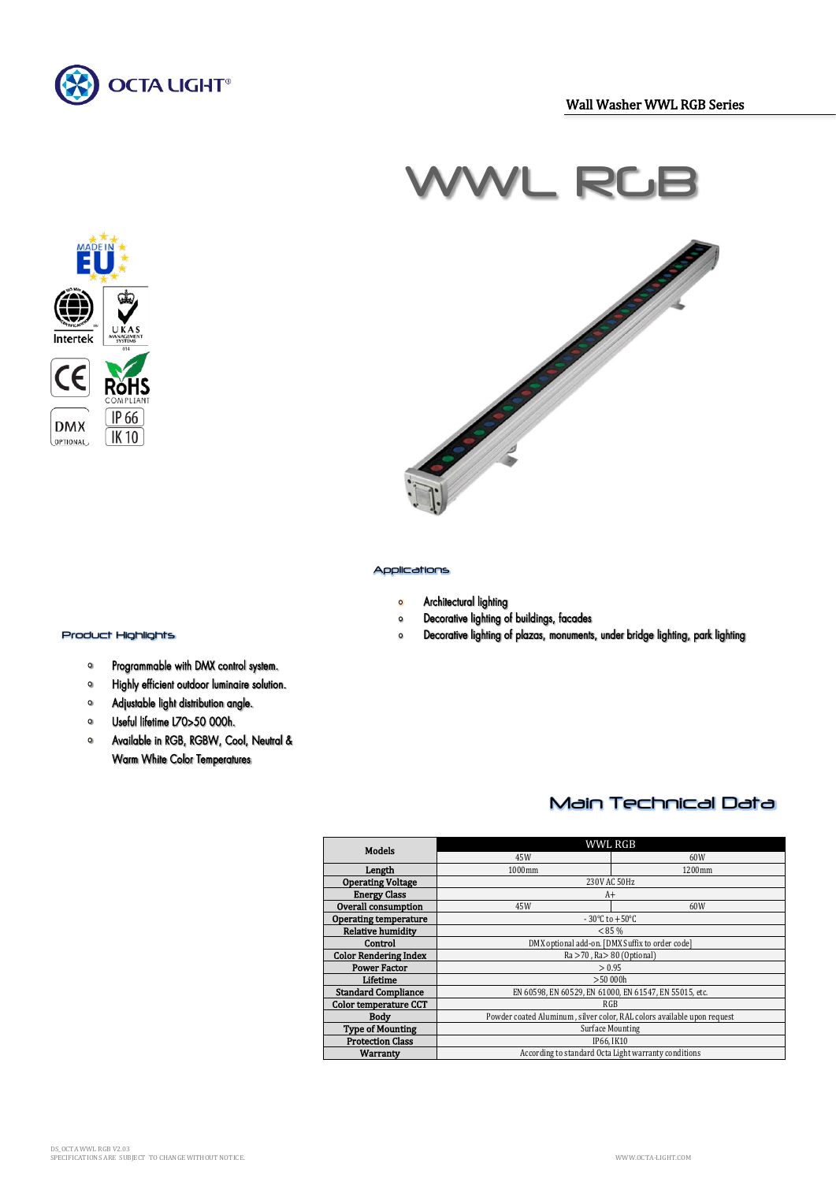



# $N$ L R



#### Applications

- Architectural lighting  $\bullet$
- Decorative lighting of buildings, facades  $\mathbf{o}$
- $\circ$ Decorative lighting of plazas, monuments, under bridge lighting, park lighting

# $\frac{1}{2}$ Product Highlights

- Programmable with DMX control system.  $\bullet$
- Highly efficient outdoor luminaire solution.  $\bullet$
- Adjustable light distribution angle.  $\bullet$
- $\bullet$ Useful lifetime L70>50 000h.
- Available in RGB, RGBW, Cool, Neutral &  $\bullet$ Warm White Color Temperatures

## Main Technical Data

| Models                       | WWL RGB                                                                 |        |  |
|------------------------------|-------------------------------------------------------------------------|--------|--|
|                              | 45W                                                                     | 60W    |  |
| Length                       | 1000mm                                                                  | 1200mm |  |
| <b>Operating Voltage</b>     | 230V AC 50Hz                                                            |        |  |
| <b>Energy Class</b>          | $A+$                                                                    |        |  |
| Overall consumption          | 45W                                                                     | 60W    |  |
| <b>Operating temperature</b> | $-30^{\circ}$ C to $+50^{\circ}$ C                                      |        |  |
| <b>Relative humidity</b>     | $< 85 \%$                                                               |        |  |
| Control                      | DMX optional add-on. [DMX Suffix to order code]                         |        |  |
| <b>Color Rendering Index</b> | $Ra > 70$ , $Ra > 80$ (Optional)                                        |        |  |
| <b>Power Factor</b>          | > 0.95                                                                  |        |  |
| Lifetime                     | >50,000h                                                                |        |  |
| <b>Standard Compliance</b>   | EN 60598, EN 60529, EN 61000, EN 61547, EN 55015, etc.                  |        |  |
| <b>Color temperature CCT</b> | RGB                                                                     |        |  |
| Bodv                         | Powder coated Aluminum, silver color, RAL colors available upon request |        |  |
| <b>Type of Mounting</b>      | Surface Mounting                                                        |        |  |
| <b>Protection Class</b>      | IP66. IK10                                                              |        |  |
| Warranty                     | According to standard Octa Light warranty conditions                    |        |  |